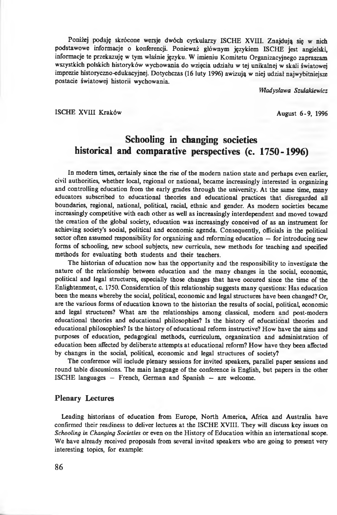Poniżej podaję skrócone wersje dwóch cyrkularzy ISCHE XVIII. Znajdują się w nich podstawowe informacje o konferencji. Ponieważ głównym językiem ISCHE jest angielski, informacje te przekazuję w tym właśnie języku. W imieniu Komitetu Organizacyjnego zapraszam wszystkich polskich historyków wychowania do wzięcia udziału w tej unikalnej w skali światowej imprezie historyczno-edukacyjnej. Dotychczas (16 luty 1996) awizują w niej udział najwybitniejsze postacie światowej historii wychowania.

*Władysława Szulakiewicz*

### ISCHE XVIII Kraków August 6-9, 1996

# **Schooling in changing societies historical and comparative perspectives (c. 1750-1996)**

In modern times, certainly since the rise of the modem nation state and perhaps even earlier, civil authorities, whether local, regional or national, became increasingly interested in organizing and controlling education from the early grades through the university. At the same time, many educators subscribed to educational theories and educational practices that disregarded all boundaries, regional, national, political, racial, ethnic and gender. As modern societies became increasingly competitive with each other as well as increasingly interdependent and moved toward the creation of the global society, education was increasingly conceived of as an instrument for achieving society's social, political and economic agenda. Consequently, ofiicials in the political sector often assumed responsibility for organizing and reforming education — for introducing new forms of schooling, new school subjects, new curricula, new methods for teaching and specified methods for evaluating both students and their teachers.

The historian of education now has the opportunity and the responsibility to investigate the nature of the relationship between education and the many changes in the social, economic, political and legal structures, especially those changes that have occured since the time of the Enlightenment, c. 1750. Consideration of this relationship suggests many questions: Has education been the means whereby the social, political, economic and legal structures have been changed? Or, are the various forms of education known to the historian the results of social, political, economic and legal structures? What are the relationships among classical, modern and post-modern educational theories and educational philosophies? Is the history of educational theories and educational philosophies? Is the history of educational reform instructive? How have the aims and purposes of education, pedagogical methods, curriculum, organization and administration of education been affected by deliberate attempts at educational reform? How have they been affected by changes in the social, political, economic and legal structures of society?

The conference will include plenary sessions for invited speakers, parallel paper sessions and round table discussions. The main language of the conference is English, but papers in the other ISCHE languages — French, German and Spanish — are welcome.

### **Plenary Lectures**

Leading historians of education from Europe, North America, Africa and Australia have confirmed their readiness to deliver lectures at the ISCHE XVIII. They will discuss key issues on *Schooling in Changing Societies* or even on the History of Education within an international scope. We have already received proposals from several invited speakers who are going to present very interesting topics, for example: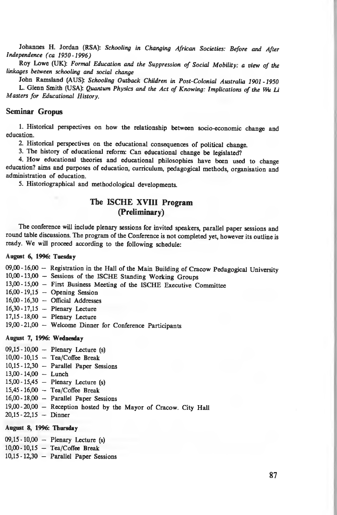Johannes H. Jordan (RSA): *Schooling in Changing African Societies: Before and After Independence (ca 1950-1996)*

Roy Lowe (UK): *Formal Education and the Suppression of Social Mobility: a view of the linkages between schooling and social change*

John Ramsland (AUS): *Schooling Outback Children in Post-Colonial Australia 1901-1950* L. Glenn Smith (USA): *Quantum Physics and the Act of Knowing: Implications of the Wu Li Masters for Educational History.*

### **Seminar Gropus**

1. Historical perspectives on how the relationship between socio-economic change and education.

2. Historical perspectives on the educational consequences of political change.

3. The history of educational reform: Can educational change be legislated?

4. How educational theories and educational philosophies have been used to change education? aims and purposes of education, curriculum, pedagogical methods, organisation and administration of education.

5. Historiographical and methodological developments.

### **The ISCHE XVIII Program (Preliminary)**

The conference will include plenary sessions for invited speakers, parallel paper sessions and round table discussions. The program of the Conference is not completed yet, however its outline is ready. We will proceed according to the following schedule:

#### **August 6, 1996: Tuesday**

09,00 - 16,00 - Registration in the Hall of the Main Building of Cracow Pedagogical University

- 10,00 -13,00 Sessions of the ISCHE Standing Working Groups
- 13.00-15,00 First Business Meeting of the ISCHE Executive Committee
- 16.00-19,15 Opening Session
- 16.00-16,30 Official Addresses
- 16,30-17,15 Plenary Lecture
- 17.15-18,00 Plenary Lecture

19.00-21,00 — Welcome Dinner for Conference Participants

### **August 7, 1996: Wednesday**

- 09.15-10,00 Plenary Lecture (s)
- 10.00-10,15 Tea/Coffee Break
- 10,15 -12,30 Parallel Paper Sessions
- 13.00-14,00 Lunch
- 15.00-15,45 Plenary Lecture (s)
- $15,45 16,00 -$  Tea/Coffee Break
- 16.00-18,00 Parallel Paper Sessions
- 19.00-20,00 Reception hosted by the Mayor of Cracow. City Hall
- 20.15-22,15 Dinner

### **August 8, 1996: Thursday**

09.15-10,00 — Plenary Lecture (s) 10.00-10,15 — Tea/Coffee Break 10.15-12,30 — Parallel Paper Sessions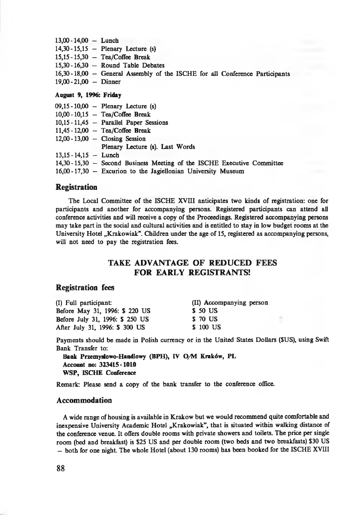| $13.00 - 14.00 -$ Lunch |                                                                               |
|-------------------------|-------------------------------------------------------------------------------|
|                         | $14,30 - 15,15$ - Plenary Lecture (s)                                         |
|                         | $15.15 - 15.30$ - Tea/Coffee Break                                            |
|                         | $15,30 - 16,30$ - Round Table Debates                                         |
|                         | 16,30 - 18,00 - General Assembly of the ISCHE for all Conference Participants |
| $19.00 - 21.00 - 21.00$ |                                                                               |

### August **9, 1996: Friday**

|                         | $09,15 - 10,00$ - Plenary Lecture (s)                                    |
|-------------------------|--------------------------------------------------------------------------|
|                         | $10.00 - 10.15$ - Tea/Coffee Break                                       |
|                         | $10,15 - 11,45$ - Parallel Paper Sessions                                |
|                         | $11.45 - 12.00$ - Tea/Coffee Break                                       |
|                         | $12,00 - 13,00$ - Closing Session                                        |
|                         | Plenary Lecture (s). Last Words                                          |
| $13.15 - 14.15 -$ Lunch |                                                                          |
|                         | 14,30 - 15,30 - Second Business Meeting of the ISCHE Executive Committee |
|                         | $16,00 - 17,30$ - Excurion to the Jagiellonian University Museum         |

### **Registration**

The Local Committee of the ISCHE XVIII anticipates two kinds of registration: one for participants and another for accompanying persons. Registered participants can attend all conference activities and will receive a copy of the Proceedings. Registered accompanying persons may take part in the social and cultural activities and is entitled to stay in low budget rooms at the University Hotel "Krakowiak". Children under the age of 15, registered as accompanying persons, will not need to pay the registration fees.

# **TAKE ADVANTAGE OF REDUCED FEES FOR EARLY REGISTRANTS!**

### **Registration fees**

| (I) Full participant:           | (II) Accompanying person |  |
|---------------------------------|--------------------------|--|
| Before May 31, 1996: \$ 220 US  | \$ 50 US                 |  |
| Before July 31, 1996: \$ 250 US | \$ 70 US                 |  |
| After July 31, 1996: \$ 300 US  | \$100 US                 |  |

Payments should be made in Polish currency or in the United States Dollars (SUS), using Swift Bank Transfer to:

**Bank Przemysłowo-Handlowy (BPH), IV O/M Kraków, PL Account no: 323415-1010 WSP, ISCHE Conference**

Remark: Please send a copy of the bank transfer to the conference oflice.

### **Accommodation**

A wide range of housing is available in Krakow but we would recommend quite comfortable and inexpensive University Academic Hotel "Krakowiak", that is situated within walking distance of the conference venue. It offers double rooms with private showers and toilets. The price per single room (bed and breakfast) is S25 US and per double room (two beds and two breakfasts) \$30 US — both for one night. The whole Hotel (about 130 rooms) has been booked for the ISCHE XVIII